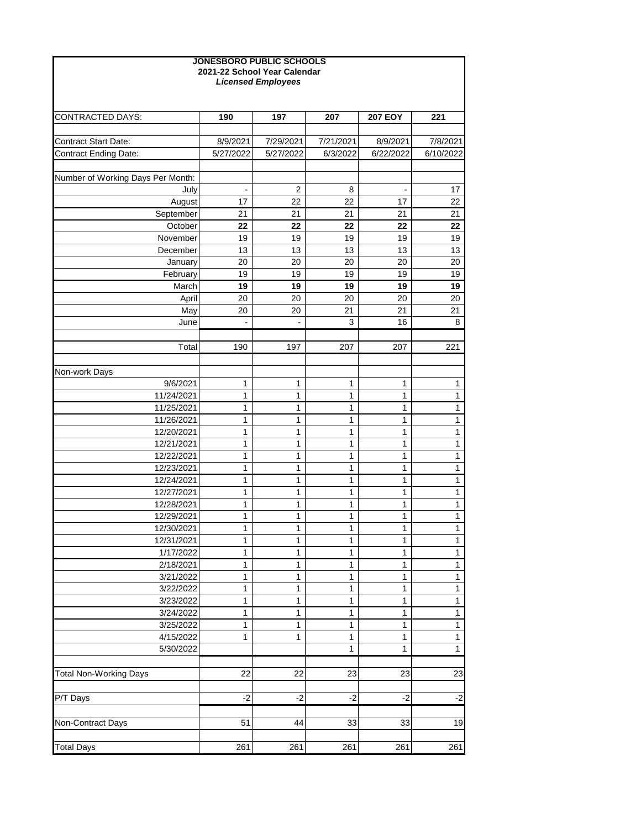| <b>JONESBORO PUBLIC SCHOOLS</b><br>2021-22 School Year Calendar<br><b>Licensed Employees</b> |           |                |             |                |              |  |  |  |
|----------------------------------------------------------------------------------------------|-----------|----------------|-------------|----------------|--------------|--|--|--|
| <b>CONTRACTED DAYS:</b>                                                                      | 190       | 197            | 207         | <b>207 EOY</b> | 221          |  |  |  |
|                                                                                              |           |                |             |                |              |  |  |  |
| <b>Contract Start Date:</b>                                                                  | 8/9/2021  | 7/29/2021      | 7/21/2021   | 8/9/2021       | 7/8/2021     |  |  |  |
| <b>Contract Ending Date:</b>                                                                 | 5/27/2022 | 5/27/2022      | 6/3/2022    | 6/22/2022      | 6/10/2022    |  |  |  |
| Number of Working Days Per Month:                                                            |           |                |             |                |              |  |  |  |
| July                                                                                         | ä,        | $\overline{2}$ | 8           | $\blacksquare$ | 17           |  |  |  |
| August                                                                                       | 17        | 22             | 22          | 17             | 22           |  |  |  |
| September                                                                                    | 21        | 21             | 21          | 21             | 21           |  |  |  |
| October                                                                                      | 22        | 22             | 22          | 22             | 22           |  |  |  |
| November                                                                                     | 19        | 19             | 19          | 19             | 19           |  |  |  |
| December                                                                                     | 13        | 13             | 13          | 13             | 13           |  |  |  |
| January                                                                                      | 20        | 20             | 20          | 20             | 20           |  |  |  |
| February                                                                                     | 19        | 19             | 19          | 19             | 19           |  |  |  |
| March                                                                                        | 19        | 19             | 19          | 19             | 19           |  |  |  |
| April                                                                                        | 20        | 20             | 20          | 20             | 20           |  |  |  |
| May                                                                                          | 20        | 20             | 21          | 21             | 21           |  |  |  |
| June                                                                                         |           |                | 3           | 16             | 8            |  |  |  |
| Total                                                                                        | 190       | 197            | 207         | 207            | 221          |  |  |  |
|                                                                                              |           |                |             |                |              |  |  |  |
| Non-work Days                                                                                |           |                |             |                |              |  |  |  |
| 9/6/2021                                                                                     | 1         | 1              | $\mathbf 1$ | 1              | 1            |  |  |  |
| 11/24/2021                                                                                   | 1         | 1              | $\mathbf 1$ | 1              | $\mathbf{1}$ |  |  |  |
| 11/25/2021                                                                                   | 1         | 1              | 1           | 1              | 1            |  |  |  |
| 11/26/2021                                                                                   | 1         | 1              | 1           | 1              | 1            |  |  |  |
| 12/20/2021                                                                                   | 1         | 1              | 1           | 1              | 1            |  |  |  |
| 12/21/2021                                                                                   | 1         | 1              | 1           | 1              | 1            |  |  |  |
| 12/22/2021                                                                                   | 1         | 1              | 1           | 1              | 1            |  |  |  |
| 12/23/2021                                                                                   | 1         | 1              | 1           | 1              | 1            |  |  |  |
| 12/24/2021                                                                                   | 1         | 1              | 1           | 1              | 1            |  |  |  |
| 12/27/2021                                                                                   | 1         | 1              | 1           | 1              | 1            |  |  |  |
| 12/28/2021                                                                                   | 1         | 1              | 1           | 1              | 1            |  |  |  |
| 12/29/2021                                                                                   | 1         | 1              | 1           | 1              | 1            |  |  |  |
| 12/30/2021                                                                                   | 1         | 1              | 1           | 1              | 1            |  |  |  |
| 12/31/2021                                                                                   | 1         | 1              | 1           | 1              | 1            |  |  |  |
| 1/17/2022                                                                                    | 1         | 1              | 1           | 1              | 1            |  |  |  |
| 2/18/2021                                                                                    | 1         | 1              | 1           | 1              | 1            |  |  |  |
| 3/21/2022                                                                                    | 1         | 1              | 1           | 1              | 1            |  |  |  |
| 3/22/2022<br>3/23/2022                                                                       | 1         | 1              | 1           | 1              | 1            |  |  |  |
| 3/24/2022                                                                                    | 1<br>1    | 1<br>1         | 1<br>1      | 1<br>1         | 1            |  |  |  |
| 3/25/2022                                                                                    | 1         | 1              | 1           | 1              | 1<br>1       |  |  |  |
| 4/15/2022                                                                                    | 1         | 1              | 1           | 1              | 1            |  |  |  |
| 5/30/2022                                                                                    |           |                | 1           | 1              | 1            |  |  |  |
|                                                                                              |           |                |             |                |              |  |  |  |
| <b>Total Non-Working Days</b>                                                                | 22        | 22             | 23          | 23             | 23           |  |  |  |
|                                                                                              |           |                |             |                |              |  |  |  |
| P/T Days                                                                                     | $-2$      | $-2$           | $-2$        | $-2$           | $-2$         |  |  |  |
| Non-Contract Days                                                                            | 51        | 44             | 33          | 33             | 19           |  |  |  |
|                                                                                              |           |                |             |                |              |  |  |  |
| <b>Total Days</b>                                                                            | 261       | 261            | 261         | 261            | 261          |  |  |  |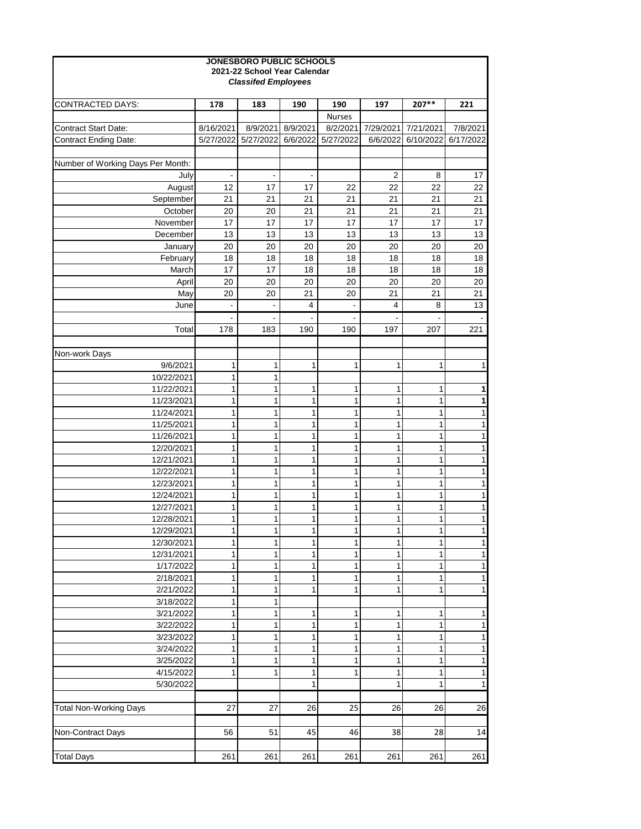| <b>JONESBORO PUBLIC SCHOOLS</b><br>2021-22 School Year Calendar<br><b>Classifed Employees</b> |           |           |                          |               |                |           |           |  |
|-----------------------------------------------------------------------------------------------|-----------|-----------|--------------------------|---------------|----------------|-----------|-----------|--|
| <b>CONTRACTED DAYS:</b>                                                                       | 178       | 183       | 190                      | 190           | 197            | 207**     | 221       |  |
|                                                                                               |           |           |                          | <b>Nurses</b> |                |           |           |  |
| <b>Contract Start Date:</b>                                                                   | 8/16/2021 | 8/9/2021  | 8/9/2021                 | 8/2/2021      | 7/29/2021      | 7/21/2021 | 7/8/2021  |  |
| <b>Contract Ending Date:</b>                                                                  | 5/27/2022 | 5/27/2022 | 6/6/2022                 | 5/27/2022     | 6/6/2022       | 6/10/2022 | 6/17/2022 |  |
|                                                                                               |           |           |                          |               |                |           |           |  |
| Number of Working Days Per Month:                                                             |           |           |                          |               |                |           |           |  |
| July                                                                                          | ٠         |           | $\overline{\phantom{0}}$ |               | $\overline{2}$ | 8         | 17        |  |
| August                                                                                        | 12        | 17        | 17                       | 22            | 22             | 22        | 22        |  |
| September                                                                                     | 21        | 21        | 21                       | 21            | 21             | 21        | 21        |  |
| October                                                                                       | 20        | 20        | 21                       | 21            | 21             | 21        | 21        |  |
| November                                                                                      | 17        | 17        | 17                       | 17            | 17             | 17        | 17        |  |
| December                                                                                      | 13        | 13        | 13                       | 13            | 13             | 13        | 13        |  |
| January                                                                                       | 20        | 20        | 20                       | 20            | 20             | 20        | 20        |  |
| February                                                                                      | 18        | 18        | 18                       | 18            | 18             | 18        | 18        |  |
| March                                                                                         | 17        | 17        | 18                       | 18            | 18             | 18        | 18        |  |
| April                                                                                         | 20        | 20        | 20                       | 20            | 20             | 20        | 20        |  |
| May                                                                                           | 20        | 20        | 21                       | 20            | 21             | 21        | 21        |  |
| June                                                                                          |           |           | 4                        |               | 4              | 8         | 13        |  |
|                                                                                               |           |           |                          |               |                |           |           |  |
| Total                                                                                         | 178       | 183       | 190                      | 190           | 197            | 207       | 221       |  |
|                                                                                               |           |           |                          |               |                |           |           |  |
| Non-work Days                                                                                 |           |           |                          |               |                |           |           |  |
| 9/6/2021                                                                                      | 1         | 1         | 1                        | 1             | 1              | 1         | 1         |  |
| 10/22/2021                                                                                    | 1         | 1         |                          |               |                |           |           |  |
| 11/22/2021                                                                                    | 1         | 1         | 1                        | 1             | 1              | 1         | 1         |  |
| 11/23/2021                                                                                    | 1         | 1         | 1                        | 1             | 1              | 1         | 1         |  |
| 11/24/2021                                                                                    | 1         | 1         | 1<br>4                   | 1             | 1              | 1         | 1         |  |
| 11/25/2021<br>11/26/2021                                                                      | 1<br>1    | 1<br>1    | 1                        |               | 1              | 1         |           |  |
| 12/20/2021                                                                                    |           | 1         | 1                        | 1             | 1              | 1         |           |  |
| 12/21/2021                                                                                    | 1         | 1         | 1                        | 1             | 1              | 1         |           |  |
| 12/22/2021                                                                                    |           | 1         | 1                        | 1             | 1              | 1         |           |  |
| 12/23/2021                                                                                    |           | 1         | 1                        | 1             | 1              | 1         |           |  |
| 12/24/2021                                                                                    |           | 1         | 1                        |               | 1              | 1         |           |  |
| 12/27/2021                                                                                    |           | 1         | 1                        | 1             | 1              | 1         |           |  |
| 12/28/2021                                                                                    | 1         | 1         | 1                        | 1             | 1              | 1         |           |  |
| 12/29/2021                                                                                    |           | 1         | 1                        | 1             | 1              | 1         |           |  |
| 12/30/2021                                                                                    |           | 1         | 1                        | 1             | 1              | 1         |           |  |
| 12/31/2021                                                                                    |           | 1         | 1                        |               |                | 1         |           |  |
| 1/17/2022                                                                                     |           | 1         | 1                        |               | 1              | 1         | 1         |  |
| 2/18/2021                                                                                     |           | 1         | 1                        | 1             | 1              | 1         |           |  |
| 2/21/2022                                                                                     |           | 1         | 1                        |               |                | 1         |           |  |
| 3/18/2022                                                                                     |           | 1         |                          |               |                |           |           |  |
| 3/21/2022                                                                                     |           | 1         | 1                        |               | 1              | 1         |           |  |
| 3/22/2022                                                                                     |           | 1         | 1                        |               |                | 1         |           |  |
| 3/23/2022                                                                                     |           | 1         | 1                        | 1             | 1              | 1         |           |  |
| 3/24/2022                                                                                     |           | 1         | 1                        |               | 1              | 1         |           |  |
| 3/25/2022                                                                                     |           | 1         | 1                        |               | 1              | 1         | 1         |  |
| 4/15/2022                                                                                     |           | 1         | 1                        |               | 1              | 1         |           |  |
| 5/30/2022                                                                                     |           |           | 1                        |               | 1              |           |           |  |
|                                                                                               |           |           |                          |               |                |           |           |  |
| <b>Total Non-Working Days</b>                                                                 | 27        | 27        | 26                       | 25            | 26             | 26        | 26        |  |
|                                                                                               |           |           |                          |               |                |           |           |  |
| Non-Contract Days                                                                             | 56        | 51        | 45                       | 46            | 38             | 28        | 14        |  |
|                                                                                               |           |           |                          |               |                |           |           |  |
| <b>Total Days</b>                                                                             | 261       | 261       | 261                      | 261           | 261            | 261       | 261       |  |